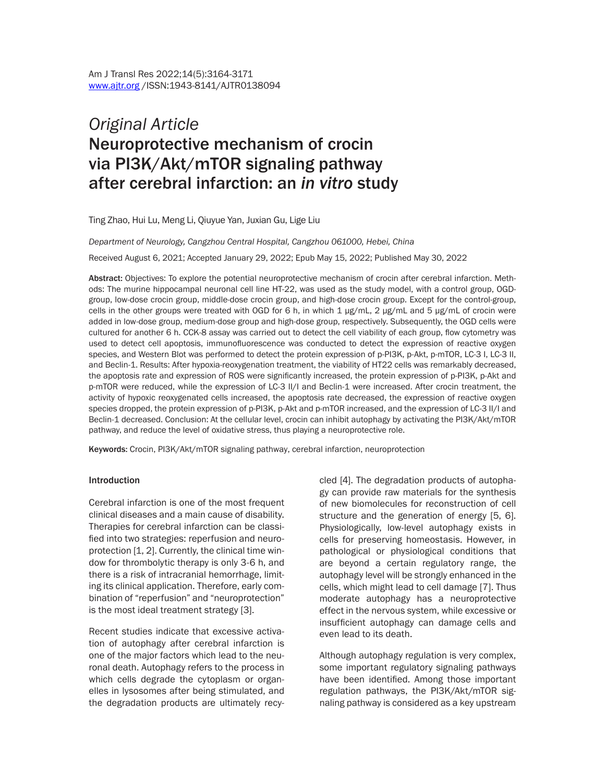# *Original Article* Neuroprotective mechanism of crocin via PI3K/Akt/mTOR signaling pathway after cerebral infarction: an *in vitro* study

Ting Zhao, Hui Lu, Meng Li, Qiuyue Yan, Juxian Gu, Lige Liu

*Department of Neurology, Cangzhou Central Hospital, Cangzhou 061000, Hebei, China*

Received August 6, 2021; Accepted January 29, 2022; Epub May 15, 2022; Published May 30, 2022

Abstract: Objectives: To explore the potential neuroprotective mechanism of crocin after cerebral infarction. Methods: The murine hippocampal neuronal cell line HT-22, was used as the study model, with a control group, OGDgroup, low-dose crocin group, middle-dose crocin group, and high-dose crocin group. Except for the control-group, cells in the other groups were treated with OGD for 6 h, in which 1 μg/mL, 2 μg/mL and 5 μg/mL of crocin were added in low-dose group, medium-dose group and high-dose group, respectively. Subsequently, the OGD cells were cultured for another 6 h. CCK-8 assay was carried out to detect the cell viability of each group, flow cytometry was used to detect cell apoptosis, immunofluorescence was conducted to detect the expression of reactive oxygen species, and Western Blot was performed to detect the protein expression of p-PI3K, p-Akt, p-mTOR, LC-3 I, LC-3 II, and Beclin-1. Results: After hypoxia-reoxygenation treatment, the viability of HT22 cells was remarkably decreased, the apoptosis rate and expression of ROS were significantly increased, the protein expression of p-PI3K, p-Akt and p-mTOR were reduced, while the expression of LC-3 II/I and Beclin-1 were increased. After crocin treatment, the activity of hypoxic reoxygenated cells increased, the apoptosis rate decreased, the expression of reactive oxygen species dropped, the protein expression of p-PI3K, p-Akt and p-mTOR increased, and the expression of LC-3 II/I and Beclin-1 decreased. Conclusion: At the cellular level, crocin can inhibit autophagy by activating the PI3K/Akt/mTOR pathway, and reduce the level of oxidative stress, thus playing a neuroprotective role.

Keywords: Crocin, PI3K/Akt/mTOR signaling pathway, cerebral infarction, neuroprotection

#### **Introduction**

Cerebral infarction is one of the most frequent clinical diseases and a main cause of disability. Therapies for cerebral infarction can be classified into two strategies: reperfusion and neuroprotection [1, 2]. Currently, the clinical time window for thrombolytic therapy is only 3-6 h, and there is a risk of intracranial hemorrhage, limiting its clinical application. Therefore, early combination of "reperfusion" and "neuroprotection" is the most ideal treatment strategy [3].

Recent studies indicate that excessive activation of autophagy after cerebral infarction is one of the major factors which lead to the neuronal death. Autophagy refers to the process in which cells degrade the cytoplasm or organelles in lysosomes after being stimulated, and the degradation products are ultimately recycled [4]. The degradation products of autophagy can provide raw materials for the synthesis of new biomolecules for reconstruction of cell structure and the generation of energy [5, 6]. Physiologically, low-level autophagy exists in cells for preserving homeostasis. However, in pathological or physiological conditions that are beyond a certain regulatory range, the autophagy level will be strongly enhanced in the cells, which might lead to cell damage [7]. Thus moderate autophagy has a neuroprotective effect in the nervous system, while excessive or insufficient autophagy can damage cells and even lead to its death.

Although autophagy regulation is very complex, some important regulatory signaling pathways have been identified. Among those important regulation pathways, the PI3K/Akt/mTOR signaling pathway is considered as a key upstream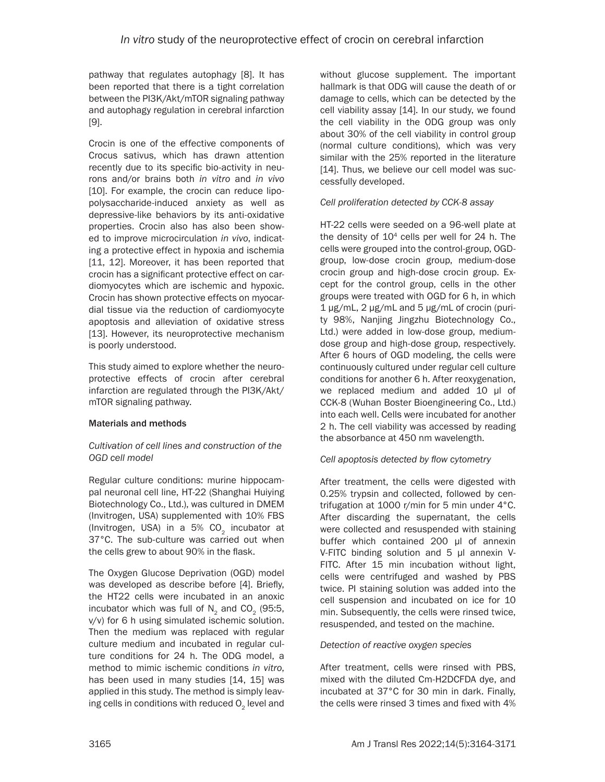pathway that regulates autophagy [8]. It has been reported that there is a tight correlation between the PI3K/Akt/mTOR signaling pathway and autophagy regulation in cerebral infarction [9].

Crocin is one of the effective components of Crocus sativus, which has drawn attention recently due to its specific bio-activity in neurons and/or brains both *in vitro* and *in vivo* [10]. For example, the crocin can reduce lipopolysaccharide-induced anxiety as well as depressive-like behaviors by its anti-oxidative properties. Crocin also has also been showed to improve microcirculation *in vivo*, indicating a protective effect in hypoxia and ischemia [11, 12]. Moreover, it has been reported that crocin has a significant protective effect on cardiomyocytes which are ischemic and hypoxic. Crocin has shown protective effects on myocardial tissue via the reduction of cardiomyocyte apoptosis and alleviation of oxidative stress [13]. However, its neuroprotective mechanism is poorly understood.

This study aimed to explore whether the neuroprotective effects of crocin after cerebral infarction are regulated through the PI3K/Akt/ mTOR signaling pathway.

# Materials and methods

# *Cultivation of cell lines and construction of the OGD cell model*

Regular culture conditions: murine hippocampal neuronal cell line, HT-22 (Shanghai Huiying Biotechnology Co., Ltd.), was cultured in DMEM (Invitrogen, USA) supplemented with 10% FBS (Invitrogen, USA) in a  $5\%$  CO<sub>2</sub> incubator at 37°C. The sub-culture was carried out when the cells grew to about 90% in the flask.

The Oxygen Glucose Deprivation (OGD) model was developed as describe before [4]. Briefly, the HT22 cells were incubated in an anoxic incubator which was full of  $N<sub>2</sub>$  and CO<sub>2</sub> (95:5, v/v) for 6 h using simulated ischemic solution. Then the medium was replaced with regular culture medium and incubated in regular culture conditions for 24 h. The ODG model, a method to mimic ischemic conditions *in vitro*, has been used in many studies [14, 15] was applied in this study. The method is simply leaving cells in conditions with reduced  $O<sub>2</sub>$  level and

without glucose supplement. The important hallmark is that ODG will cause the death of or damage to cells, which can be detected by the cell viability assay [14]. In our study, we found the cell viability in the ODG group was only about 30% of the cell viability in control group (normal culture conditions), which was very similar with the 25% reported in the literature [14]. Thus, we believe our cell model was successfully developed.

# *Cell proliferation detected by CCK-8 assay*

HT-22 cells were seeded on a 96-well plate at the density of  $10<sup>4</sup>$  cells per well for 24 h. The cells were grouped into the control-group, OGDgroup, low-dose crocin group, medium-dose crocin group and high-dose crocin group. Except for the control group, cells in the other groups were treated with OGD for 6 h, in which 1 μg/mL, 2 μg/mL and 5 μg/mL of crocin (purity 98%, Nanjing Jingzhu Biotechnology Co., Ltd.) were added in low-dose group, mediumdose group and high-dose group, respectively. After 6 hours of OGD modeling, the cells were continuously cultured under regular cell culture conditions for another 6 h. After reoxygenation, we replaced medium and added 10 μl of CCK-8 (Wuhan Boster Bioengineering Co., Ltd.) into each well. Cells were incubated for another 2 h. The cell viability was accessed by reading the absorbance at 450 nm wavelength.

# *Cell apoptosis detected by flow cytometry*

After treatment, the cells were digested with 0.25% trypsin and collected, followed by centrifugation at 1000 r/min for 5 min under 4°C. After discarding the supernatant, the cells were collected and resuspended with staining buffer which contained 200 μl of annexin V-FITC binding solution and 5 μl annexin V-FITC. After 15 min incubation without light, cells were centrifuged and washed by PBS twice. PI staining solution was added into the cell suspension and incubated on ice for 10 min. Subsequently, the cells were rinsed twice, resuspended, and tested on the machine.

# *Detection of reactive oxygen species*

After treatment, cells were rinsed with PBS, mixed with the diluted Cm-H2DCFDA dye, and incubated at 37°C for 30 min in dark. Finally, the cells were rinsed 3 times and fixed with 4%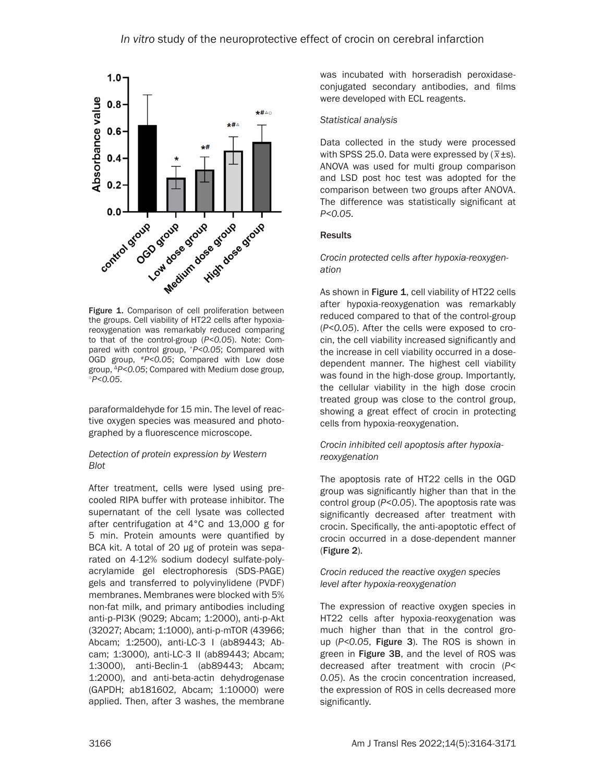

Figure 1. Comparison of cell proliferation between the groups. Cell viability of HT22 cells after hypoxiareoxygenation was remarkably reduced comparing to that of the control-group (*P<0.05*). Note: Compared with control group, \**P<0.05*; Compared with OGD group, #*P<0.05*; Compared with Low dose group, Δ*P<0.05*; Compared with Medium dose group, ○*P<0.05*.

paraformaldehyde for 15 min. The level of reactive oxygen species was measured and photographed by a fluorescence microscope.

# *Detection of protein expression by Western Blot*

After treatment, cells were lysed using precooled RIPA buffer with protease inhibitor. The supernatant of the cell lysate was collected after centrifugation at 4°C and 13,000 g for 5 min. Protein amounts were quantified by BCA kit. A total of 20 μg of protein was separated on 4-12% sodium dodecyl sulfate-polyacrylamide gel electrophoresis (SDS-PAGE) gels and transferred to polyvinylidene (PVDF) membranes. Membranes were blocked with 5% non-fat milk, and primary antibodies including anti-p-PI3K (9029; Abcam; 1:2000), anti-p-Akt (32027; Abcam; 1:1000), anti-p-mTOR (43966; Abcam; 1:2500), anti-LC-3 I (ab89443; Abcam; 1:3000), anti-LC-3 II (ab89443; Abcam; 1:3000), anti-Beclin-1 (ab89443; Abcam; 1:2000), and anti-beta-actin dehydrogenase (GAPDH; ab181602, Abcam; 1:10000) were applied. Then, after 3 washes, the membrane was incubated with horseradish peroxidaseconjugated secondary antibodies, and films were developed with ECL reagents.

# *Statistical analysis*

Data collected in the study were processed bata collected in the study were processed<br>with SPSS 25.0. Data were expressed by  $(\overline{x} \pm s)$ . ANOVA was used for multi group comparison and LSD post hoc test was adopted for the comparison between two groups after ANOVA. The difference was statistically significant at *P<0.05*.

## **Results**

#### *Crocin protected cells after hypoxia-reoxygenation*

As shown in Figure 1, cell viability of HT22 cells after hypoxia-reoxygenation was remarkably reduced compared to that of the control-group (*P<0.05*). After the cells were exposed to crocin, the cell viability increased significantly and the increase in cell viability occurred in a dosedependent manner. The highest cell viability was found in the high-dose group. Importantly, the cellular viability in the high dose crocin treated group was close to the control group, showing a great effect of crocin in protecting cells from hypoxia-reoxygenation.

## *Crocin inhibited cell apoptosis after hypoxiareoxygenation*

The apoptosis rate of HT22 cells in the OGD group was significantly higher than that in the control group (*P<0.05*). The apoptosis rate was significantly decreased after treatment with crocin. Specifically, the anti-apoptotic effect of crocin occurred in a dose-dependent manner (Figure 2).

## *Crocin reduced the reactive oxygen species level after hypoxia-reoxygenation*

The expression of reactive oxygen species in HT22 cells after hypoxia-reoxygenation was much higher than that in the control group (*P<0.05*, Figure 3). The ROS is shown in green in Figure 3B, and the level of ROS was decreased after treatment with crocin (*P< 0.05*). As the crocin concentration increased, the expression of ROS in cells decreased more significantly.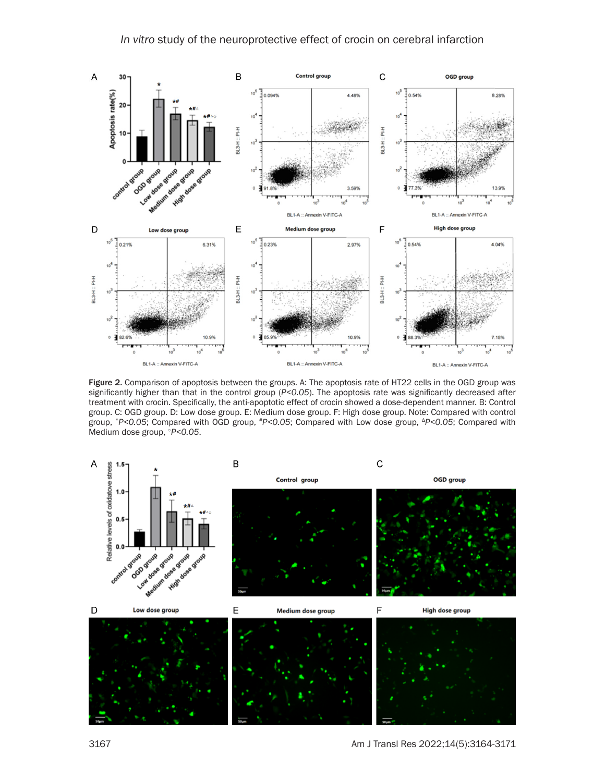

Figure 2. Comparison of apoptosis between the groups. A: The apoptosis rate of HT22 cells in the OGD group was significantly higher than that in the control group (*P<0.05*). The apoptosis rate was significantly decreased after treatment with crocin. Specifically, the anti-apoptotic effect of crocin showed a dose-dependent manner. B: Control group. C: OGD group. D: Low dose group. E: Medium dose group. F: High dose group. Note: Compared with control group, \**P<0.05*; Compared with OGD group, #*P<0.05*; Compared with Low dose group, <sup>Δ</sup>*P<0.05*; Compared with Medium dose group, ○*P<0.05*.

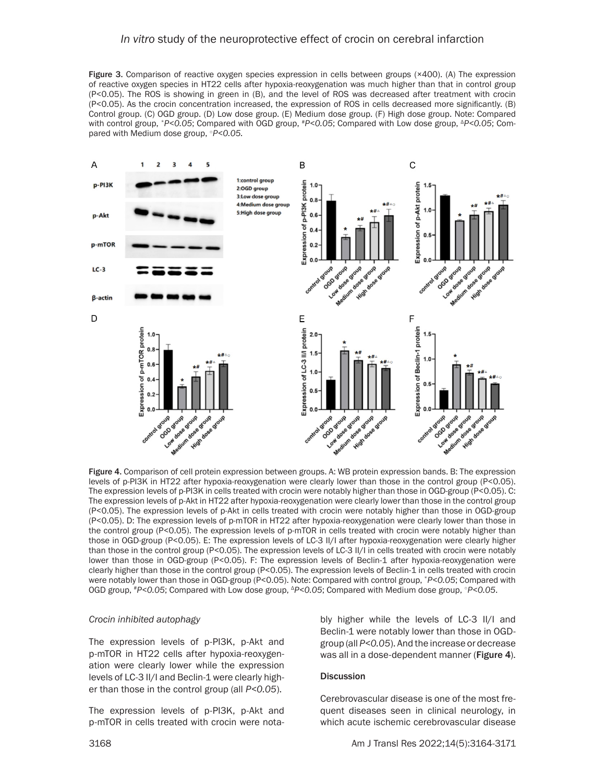## *In vitro* study of the neuroprotective effect of crocin on cerebral infarction

Figure 3. Comparison of reactive oxygen species expression in cells between groups (×400). (A) The expression of reactive oxygen species in HT22 cells after hypoxia-reoxygenation was much higher than that in control group (P<0.05). The ROS is showing in green in (B), and the level of ROS was decreased after treatment with crocin (P<0.05). As the crocin concentration increased, the expression of ROS in cells decreased more significantly. (B) Control group. (C) OGD group. (D) Low dose group. (E) Medium dose group. (F) High dose group. Note: Compared with control group, \*P<0.05; Compared with OGD group, \*P<0.05; Compared with Low dose group, <sup>Δ</sup>P<0.05; Compared with Medium dose group, ○*P<0.05.*



Figure 4. Comparison of cell protein expression between groups. A: WB protein expression bands. B: The expression levels of p-PI3K in HT22 after hypoxia-reoxygenation were clearly lower than those in the control group (P<0.05). The expression levels of p-PI3K in cells treated with crocin were notably higher than those in OGD-group (P<0.05). C: The expression levels of p-Akt in HT22 after hypoxia-reoxygenation were clearly lower than those in the control group (P<0.05). The expression levels of p-Akt in cells treated with crocin were notably higher than those in OGD-group (P<0.05). D: The expression levels of p-mTOR in HT22 after hypoxia-reoxygenation were clearly lower than those in the control group (P<0.05). The expression levels of p-mTOR in cells treated with crocin were notably higher than those in OGD-group (P<0.05). E: The expression levels of LC-3 II/I after hypoxia-reoxygenation were clearly higher than those in the control group (P<0.05). The expression levels of LC-3 II/I in cells treated with crocin were notably lower than those in OGD-group (P<0.05). F: The expression levels of Beclin-1 after hypoxia-reoxygenation were clearly higher than those in the control group (P<0.05). The expression levels of Beclin-1 in cells treated with crocin were notably lower than those in OGD-group (P<0.05). Note: Compared with control group, \**P<0.05*; Compared with OGD group, #P<0.05; Compared with Low dose group,  $\Delta P$ <0.05; Compared with Medium dose group,  $\Delta P$ <0.05.

#### *Crocin inhibited autophagy*

The expression levels of p-PI3K, p-Akt and p-mTOR in HT22 cells after hypoxia-reoxygenation were clearly lower while the expression levels of LC-3 II/I and Beclin-1 were clearly higher than those in the control group (all *P<0.05*).

The expression levels of p-PI3K, p-Akt and p-mTOR in cells treated with crocin were notably higher while the levels of LC-3 II/I and Beclin-1 were notably lower than those in OGDgroup (all *P<0.05*). And the increase or decrease was all in a dose-dependent manner (Figure 4).

#### **Discussion**

Cerebrovascular disease is one of the most frequent diseases seen in clinical neurology, in which acute ischemic cerebrovascular disease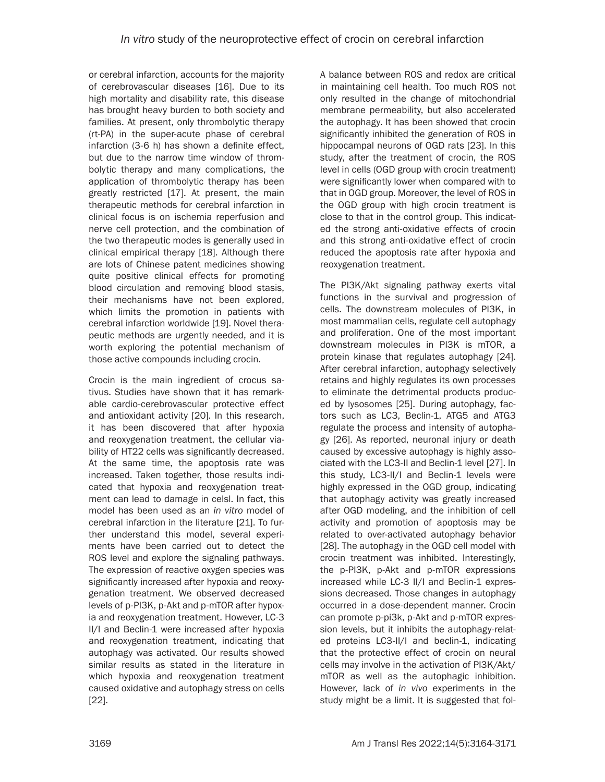or cerebral infarction, accounts for the majority of cerebrovascular diseases [16]. Due to its high mortality and disability rate, this disease has brought heavy burden to both society and families. At present, only thrombolytic therapy (rt-PA) in the super-acute phase of cerebral infarction (3-6 h) has shown a definite effect, but due to the narrow time window of thrombolytic therapy and many complications, the application of thrombolytic therapy has been greatly restricted [17]. At present, the main therapeutic methods for cerebral infarction in clinical focus is on ischemia reperfusion and nerve cell protection, and the combination of the two therapeutic modes is generally used in clinical empirical therapy [18]. Although there are lots of Chinese patent medicines showing quite positive clinical effects for promoting blood circulation and removing blood stasis, their mechanisms have not been explored, which limits the promotion in patients with cerebral infarction worldwide [19]. Novel therapeutic methods are urgently needed, and it is worth exploring the potential mechanism of those active compounds including crocin.

Crocin is the main ingredient of crocus sativus. Studies have shown that it has remarkable cardio-cerebrovascular protective effect and antioxidant activity [20]. In this research, it has been discovered that after hypoxia and reoxygenation treatment, the cellular viability of HT22 cells was significantly decreased. At the same time, the apoptosis rate was increased. Taken together, those results indicated that hypoxia and reoxygenation treatment can lead to damage in celsl. In fact, this model has been used as an *in vitro* model of cerebral infarction in the literature [21]. To further understand this model, several experiments have been carried out to detect the ROS level and explore the signaling pathways. The expression of reactive oxygen species was significantly increased after hypoxia and reoxygenation treatment. We observed decreased levels of p-PI3K, p-Akt and p-mTOR after hypoxia and reoxygenation treatment. However, LC-3 II/I and Beclin-1 were increased after hypoxia and reoxygenation treatment, indicating that autophagy was activated. Our results showed similar results as stated in the literature in which hypoxia and reoxygenation treatment caused oxidative and autophagy stress on cells [22].

A balance between ROS and redox are critical in maintaining cell health. Too much ROS not only resulted in the change of mitochondrial membrane permeability, but also accelerated the autophagy. It has been showed that crocin significantly inhibited the generation of ROS in hippocampal neurons of OGD rats [23]. In this study, after the treatment of crocin, the ROS level in cells (OGD group with crocin treatment) were significantly lower when compared with to that in OGD group. Moreover, the level of ROS in the OGD group with high crocin treatment is close to that in the control group. This indicated the strong anti-oxidative effects of crocin and this strong anti-oxidative effect of crocin reduced the apoptosis rate after hypoxia and reoxygenation treatment.

The PI3K/Akt signaling pathway exerts vital functions in the survival and progression of cells. The downstream molecules of PI3K, in most mammalian cells, regulate cell autophagy and proliferation. One of the most important downstream molecules in PI3K is mTOR, a protein kinase that regulates autophagy [24]. After cerebral infarction, autophagy selectively retains and highly regulates its own processes to eliminate the detrimental products produced by lysosomes [25]. During autophagy, factors such as LC3, Beclin-1, ATG5 and ATG3 regulate the process and intensity of autophagy [26]. As reported, neuronal injury or death caused by excessive autophagy is highly associated with the LC3-II and Beclin-1 level [27]. In this study, LC3-II/I and Beclin-1 levels were highly expressed in the OGD group, indicating that autophagy activity was greatly increased after OGD modeling, and the inhibition of cell activity and promotion of apoptosis may be related to over-activated autophagy behavior [28]. The autophagy in the OGD cell model with crocin treatment was inhibited. Interestingly, the p-PI3K, p-Akt and p-mTOR expressions increased while LC-3 II/I and Beclin-1 expressions decreased. Those changes in autophagy occurred in a dose-dependent manner. Crocin can promote p-pi3k, p-Akt and p-mTOR expression levels, but it inhibits the autophagy-related proteins LC3-II/I and beclin-1, indicating that the protective effect of crocin on neural cells may involve in the activation of PI3K/Akt/ mTOR as well as the autophagic inhibition. However, lack of *in vivo* experiments in the study might be a limit. It is suggested that fol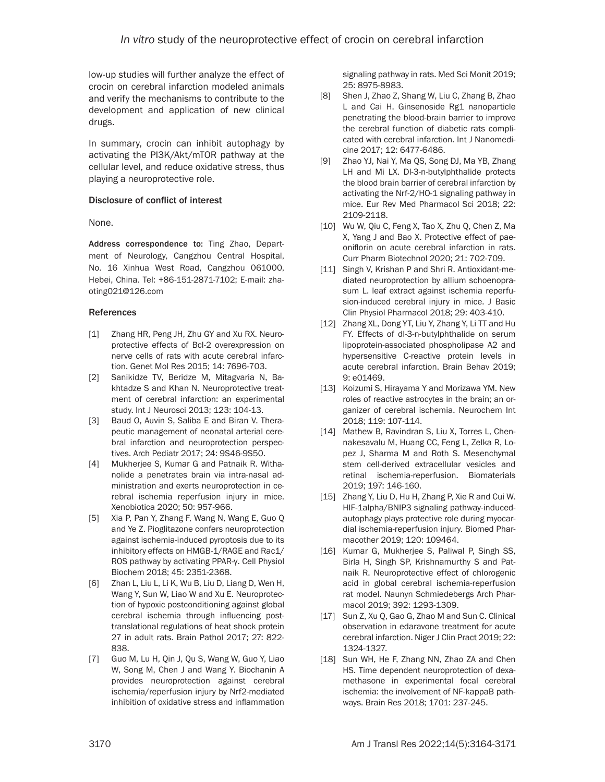low-up studies will further analyze the effect of crocin on cerebral infarction modeled animals and verify the mechanisms to contribute to the development and application of new clinical drugs.

In summary, crocin can inhibit autophagy by activating the PI3K/Akt/mTOR pathway at the cellular level, and reduce oxidative stress, thus playing a neuroprotective role.

#### Disclosure of conflict of interest

None.

Address correspondence to: Ting Zhao, Department of Neurology, Cangzhou Central Hospital, No. 16 Xinhua West Road, Cangzhou 061000, Hebei, China. Tel: +86-151-2871-7102; E-mail: [zha](mailto:zhaoting021@126.com)[oting021@126.com](mailto:zhaoting021@126.com)

## References

- [1] Zhang HR, Peng JH, Zhu GY and Xu RX. Neuroprotective effects of Bcl-2 overexpression on nerve cells of rats with acute cerebral infarction. Genet Mol Res 2015; 14: 7696-703.
- [2] Sanikidze TV, Beridze M, Mitagvaria N, Bakhtadze S and Khan N. Neuroprotective treatment of cerebral infarction: an experimental study. Int J Neurosci 2013; 123: 104-13.
- [3] Baud O, Auvin S, Saliba E and Biran V. Therapeutic management of neonatal arterial cerebral infarction and neuroprotection perspectives. Arch Pediatr 2017; 24: 9S46-9S50.
- [4] Mukherjee S, Kumar G and Patnaik R. Withanolide a penetrates brain via intra-nasal administration and exerts neuroprotection in cerebral ischemia reperfusion injury in mice. Xenobiotica 2020; 50: 957-966.
- [5] Xia P, Pan Y, Zhang F, Wang N, Wang E, Guo Q and Ye Z. Pioglitazone confers neuroprotection against ischemia-induced pyroptosis due to its inhibitory effects on HMGB-1/RAGE and Rac1/ ROS pathway by activating PPAR-γ. Cell Physiol Biochem 2018; 45: 2351-2368.
- [6] Zhan L, Liu L, Li K, Wu B, Liu D, Liang D, Wen H, Wang Y, Sun W, Liao W and Xu E. Neuroprotection of hypoxic postconditioning against global cerebral ischemia through influencing posttranslational regulations of heat shock protein 27 in adult rats. Brain Pathol 2017; 27: 822- 838.
- [7] Guo M, Lu H, Qin J, Qu S, Wang W, Guo Y, Liao W, Song M, Chen J and Wang Y. Biochanin A provides neuroprotection against cerebral ischemia/reperfusion injury by Nrf2-mediated inhibition of oxidative stress and inflammation

signaling pathway in rats. Med Sci Monit 2019; 25: 8975-8983.

- [8] Shen J, Zhao Z, Shang W, Liu C, Zhang B, Zhao L and Cai H. Ginsenoside Rg1 nanoparticle penetrating the blood-brain barrier to improve the cerebral function of diabetic rats complicated with cerebral infarction. Int J Nanomedicine 2017; 12: 6477-6486.
- [9] Zhao YJ, Nai Y, Ma QS, Song DJ, Ma YB, Zhang LH and Mi LX. Dl-3-n-butylphthalide protects the blood brain barrier of cerebral infarction by activating the Nrf-2/HO-1 signaling pathway in mice. Eur Rev Med Pharmacol Sci 2018; 22: 2109-2118.
- [10] Wu W, Qiu C, Feng X, Tao X, Zhu Q, Chen Z, Ma X, Yang J and Bao X. Protective effect of paeoniflorin on acute cerebral infarction in rats. Curr Pharm Biotechnol 2020; 21: 702-709.
- [11] Singh V, Krishan P and Shri R. Antioxidant-mediated neuroprotection by allium schoenoprasum L. leaf extract against ischemia reperfusion-induced cerebral injury in mice. J Basic Clin Physiol Pharmacol 2018; 29: 403-410.
- [12] Zhang XL, Dong YT, Liu Y, Zhang Y, Li TT and Hu FY. Effects of dl-3-n-butylphthalide on serum lipoprotein-associated phospholipase A2 and hypersensitive C-reactive protein levels in acute cerebral infarction. Brain Behav 2019; 9: e01469.
- [13] Koizumi S, Hirayama Y and Morizawa YM. New roles of reactive astrocytes in the brain; an organizer of cerebral ischemia. Neurochem Int 2018; 119: 107-114.
- [14] Mathew B, Ravindran S, Liu X, Torres L, Chennakesavalu M, Huang CC, Feng L, Zelka R, Lopez J, Sharma M and Roth S. Mesenchymal stem cell-derived extracellular vesicles and retinal ischemia-reperfusion. Biomaterials 2019; 197: 146-160.
- [15] Zhang Y, Liu D, Hu H, Zhang P, Xie R and Cui W. HIF-1alpha/BNIP3 signaling pathway-inducedautophagy plays protective role during myocardial ischemia-reperfusion injury. Biomed Pharmacother 2019; 120: 109464.
- [16] Kumar G, Mukherjee S, Paliwal P, Singh SS, Birla H, Singh SP, Krishnamurthy S and Patnaik R. Neuroprotective effect of chlorogenic acid in global cerebral ischemia-reperfusion rat model. Naunyn Schmiedebergs Arch Pharmacol 2019; 392: 1293-1309.
- [17] Sun Z, Xu O, Gao G, Zhao M and Sun C, Clinical observation in edaravone treatment for acute cerebral infarction. Niger J Clin Pract 2019; 22: 1324-1327.
- [18] Sun WH, He F, Zhang NN, Zhao ZA and Chen HS. Time dependent neuroprotection of dexamethasone in experimental focal cerebral ischemia: the involvement of NF-kappaB pathways. Brain Res 2018; 1701: 237-245.